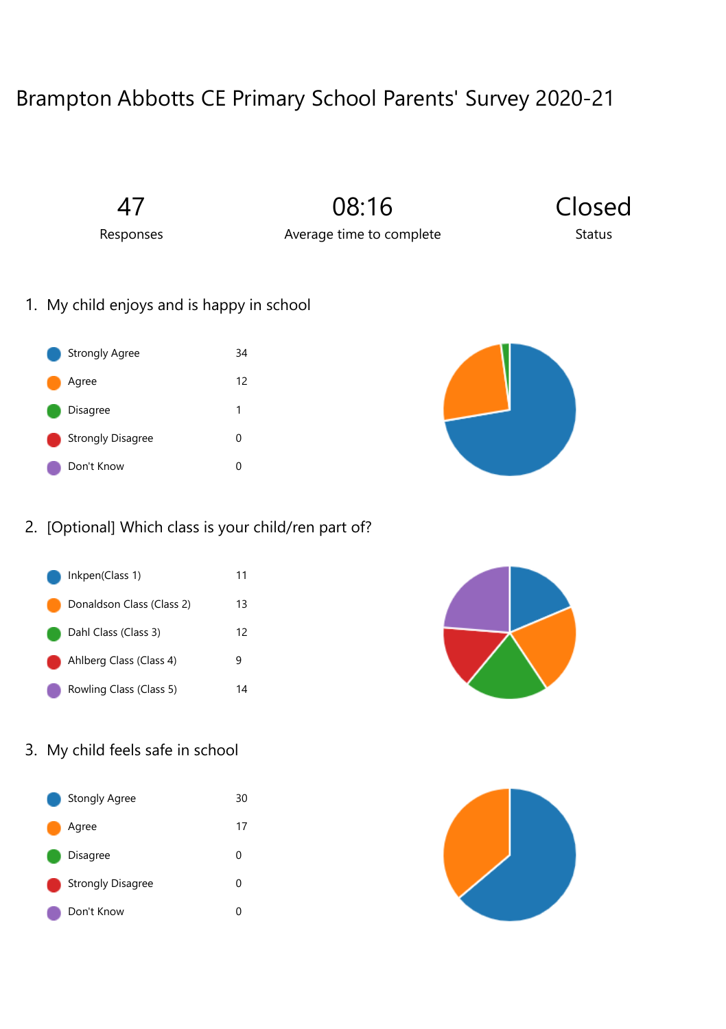## Brampton Abbotts CE Primary School Parents' Survey 2020-21

47

08:16

Closed **Status** 

Responses

Average time to complete

1. My child enjoys and is happy in school





## 2. [Optional] Which class is your child/ren part of?



## 3. My child feels safe in school

| Stongly Agree            | 30 |
|--------------------------|----|
| Agree                    | 17 |
| Disagree                 | ი  |
| <b>Strongly Disagree</b> | O  |
| Don't Know               | ი  |



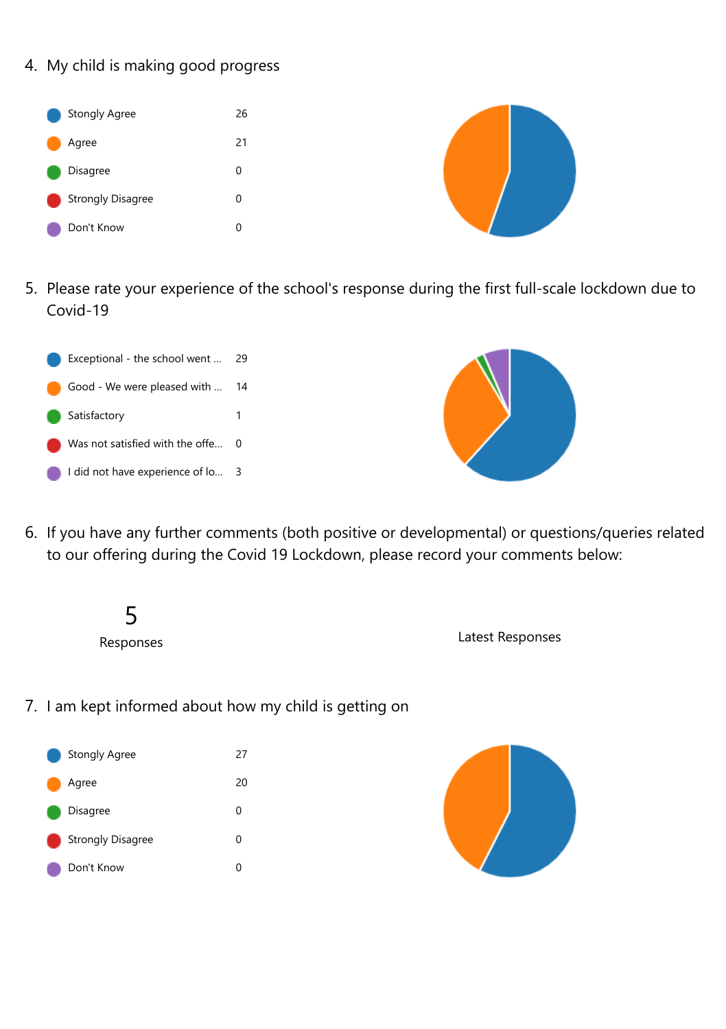4. My child is making good progress



5. Please rate your experience of the school's response during the first full-scale lockdown due to Covid-19





- 6. If you have any further comments (both positive or developmental) or questions/queries related to our offering during the Covid 19 Lockdown, please record your comments below:
	- 5 Responses

Latest Responses

7. I am kept informed about how my child is getting on



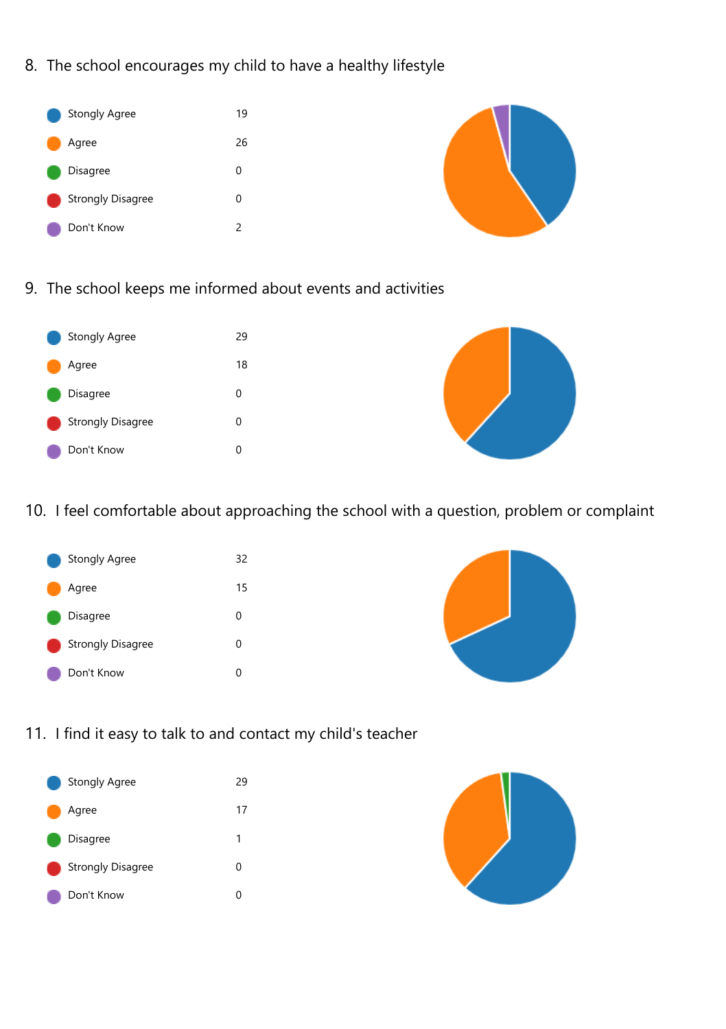8. The school encourages my child to have a healthy lifestyle



9. The school keeps me informed about events and activities



10. I feel comfortable about approaching the school with a question, problem or complaint





11. I find it easy to talk to and contact my child's teacher



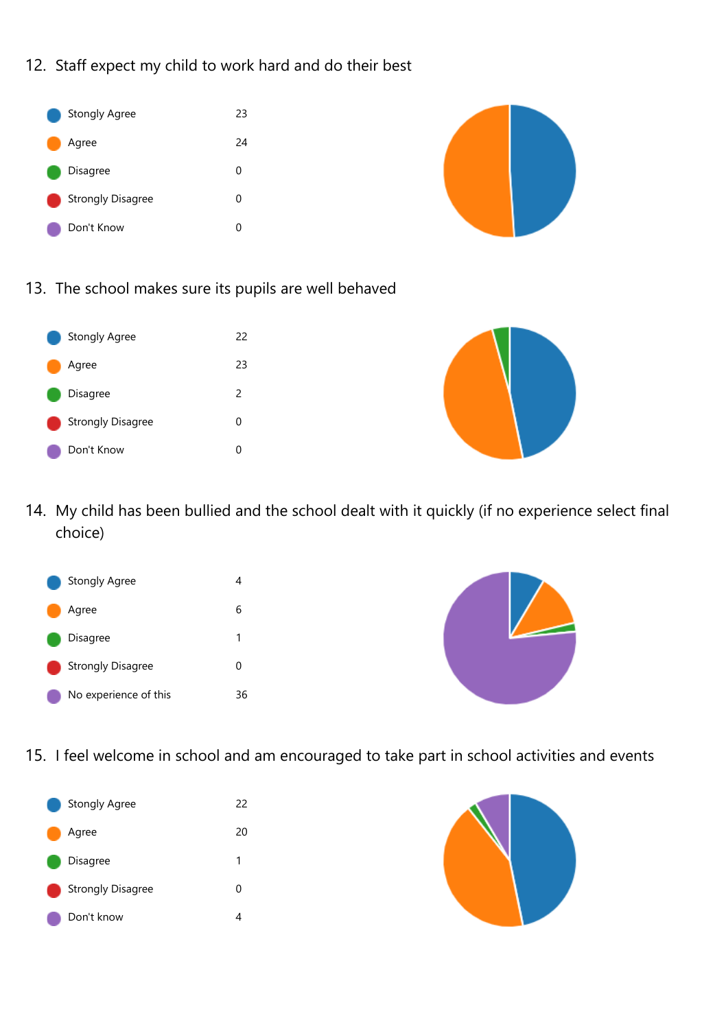12. Staff expect my child to work hard and do their best





13. The school makes sure its pupils are well behaved





14. My child has been bullied and the school dealt with it quickly (if no experience select final choice)





15. I feel welcome in school and am encouraged to take part in school activities and events



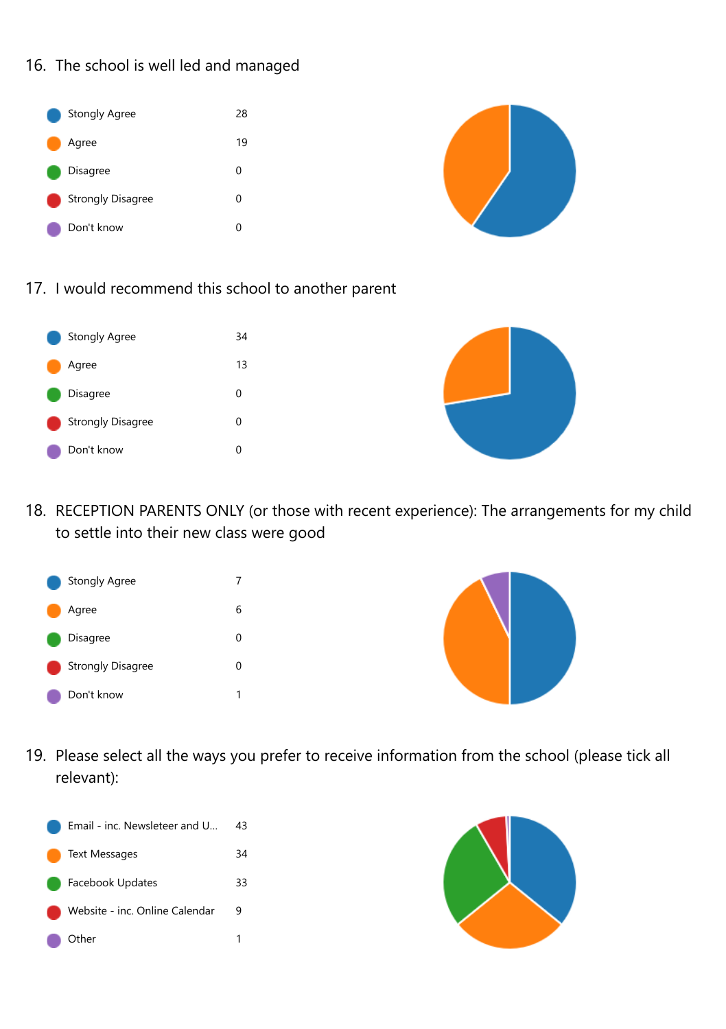16. The school is well led and managed





17. I would recommend this school to another parent



18. RECEPTION PARENTS ONLY (or those with recent experience): The arrangements for my child to settle into their new class were good





19. Please select all the ways you prefer to receive information from the school (please tick all relevant):